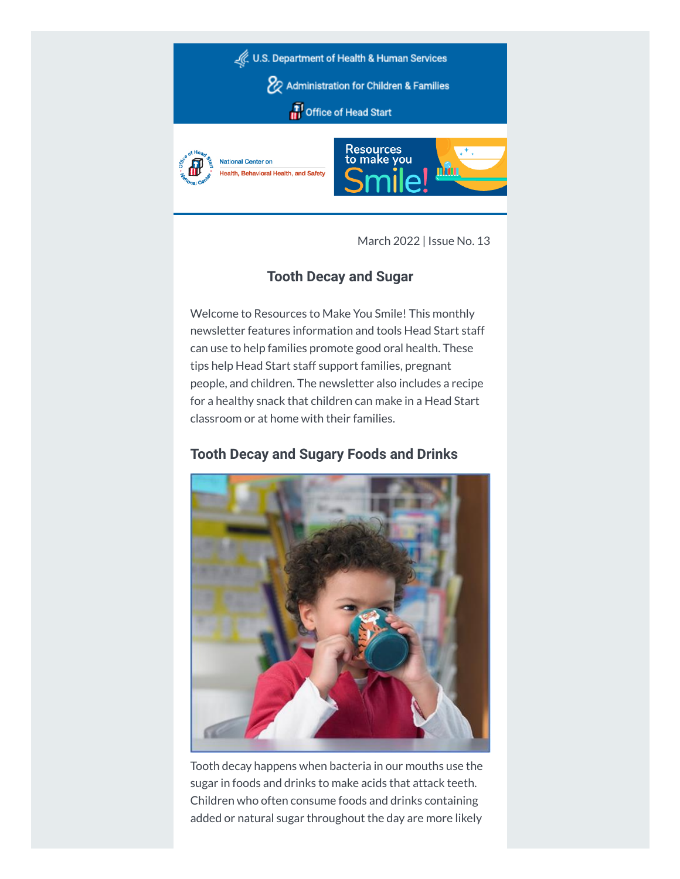

March 2022 | Issue No. 13

# **Tooth Decay and Sugar**

Welcome to Resources to Make You Smile! This monthly newsletter features information and tools Head Start staff can use to help families promote good oral health. These tips help Head Start staff support families, pregnant people, and children. The newsletter also includes a recipe for a healthy snack that children can make in a Head Start classroom or at home with their families.

# **Tooth Decay and Sugary Foods and Drinks**



Tooth decay happens when bacteria in our mouths use the sugar in foods and drinks to make acids that attack teeth. Children who often consume foods and drinks containing added or natural sugar throughout the day are more likely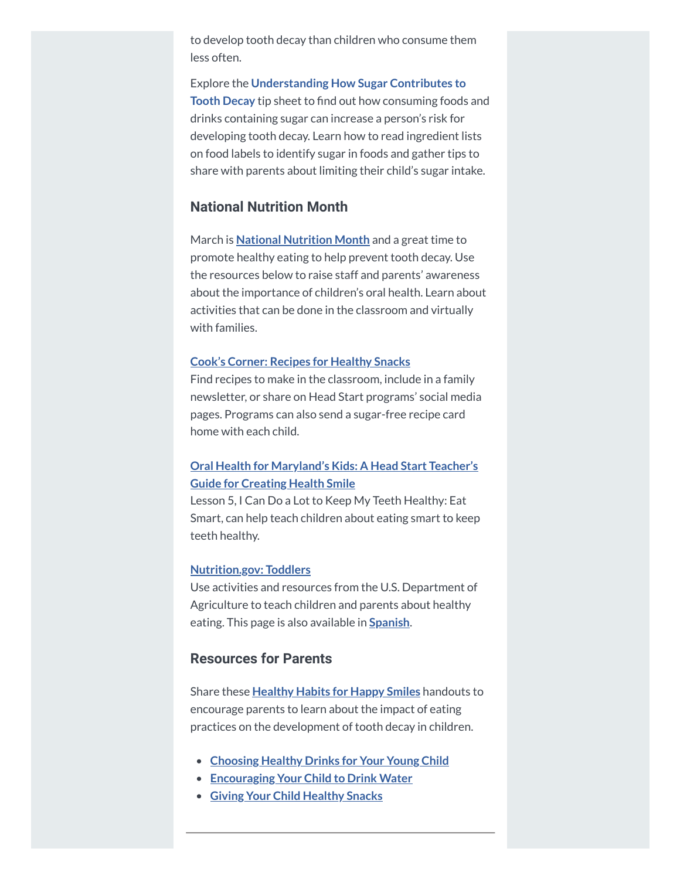to develop tooth decay than children who consume them less often.

Explore the **[Understanding](https://hendall.createsend1.com/t/j-l-ziuiluk-l-i/) How Sugar Contributes to Tooth Decay** tip sheet to find out how consuming foods and drinks containing sugar can increase a person's risk for developing tooth decay. Learn how to read ingredient lists on food labels to identify sugar in foods and gather tips to share with parents about limiting their child's sugar intake.

#### **National Nutrition Month**

March is **National [Nutrition](https://hendall.createsend1.com/t/j-l-ziuiluk-l-d/) Month** and a great time to promote healthy eating to help prevent tooth decay. Use the resources below to raise staff and parents' awareness about the importance of children's oral health. Learn about activities that can be done in the classroom and virtually with families.

#### **Cook's Corner: Recipes for [Healthy](https://hendall.createsend1.com/t/j-l-ziuiluk-l-h/) Snacks**

Find recipes to make in the classroom, include in a family newsletter, or share on Head Start programs' social media pages. Programs can also send a sugar-free recipe card home with each child.

#### **Oral Health for [Maryland's](https://hendall.createsend1.com/t/j-l-ziuiluk-l-k/) Kids: A Head Start Teacher's Guide for Creating Health Smile**

Lesson 5, I Can Do a Lot to Keep My Teeth Healthy: Eat Smart, can help teach children about eating smart to keep teeth healthy.

#### **[Nutrition.gov:](https://hendall.createsend1.com/t/j-l-ziuiluk-l-u/) Toddlers**

Use activities and resources from the U.S. Department of Agriculture to teach children and parents about healthy eating. This page is also available in **[Spanish](https://hendall.createsend1.com/t/j-l-ziuiluk-l-o/)**.

### **Resources for Parents**

Share these **[Healthy](https://hendall.createsend1.com/t/j-l-ziuiluk-l-b/) Habits for Happy Smiles** handouts to encourage parents to learn about the impact of eating practices on the development of tooth decay in children.

- **[Choosing](https://hendall.createsend1.com/t/j-l-ziuiluk-l-n/) Healthy Drinks for Your Young Child**
- **[Encouraging](https://hendall.createsend1.com/t/j-l-ziuiluk-l-p/) Your Child to Drink Water**
- **Giving Your Child [Healthy](https://hendall.createsend1.com/t/j-l-ziuiluk-l-x/) Snacks**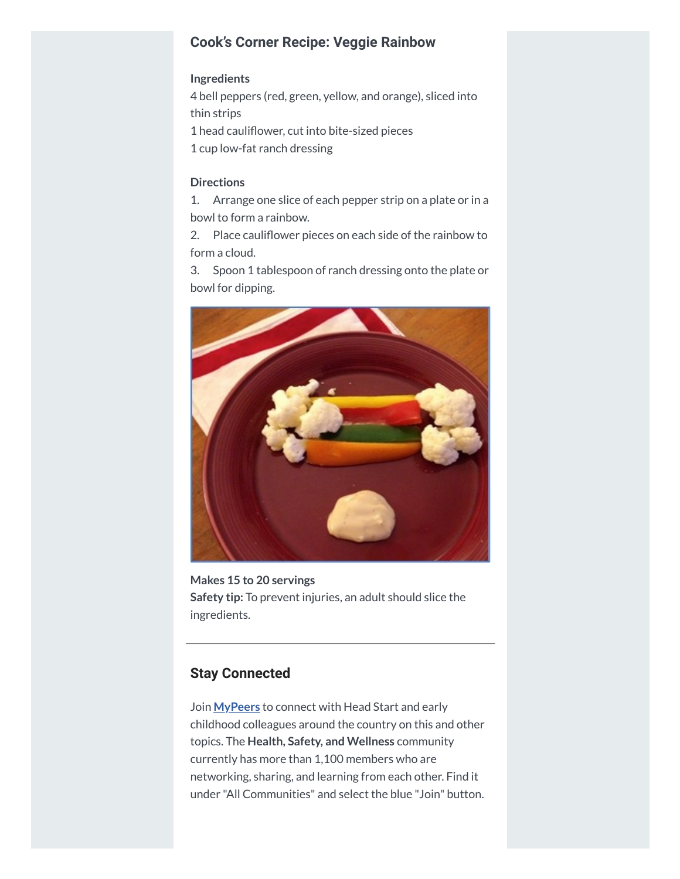### **Cook's Corner Recipe: Veggie Rainbow**

#### **Ingredients**

 bell peppers (red, green, yellow, and orange), sliced into thin strips head cauliflower, cut into bite-sized pieces cup low-fat ranch dressing

#### **Directions**

1. Arrange one slice of each pepper strip on a plate or in a bowl to form a rainbow.

2. Place cauliflower pieces on each side of the rainbow to form a cloud.

3. Spoon 1 tablespoon of ranch dressing onto the plate or bowl for dipping.



**Makes 15 to 20 servings Safety tip:** To prevent injuries, an adult should slice the ingredients.

## **Stay Connected**

Join **[MyPeers](https://hendall.createsend1.com/t/j-l-ziuiluk-l-m/)** to connect with Head Start and early childhood colleagues around the country on this and other topics. The **Health, Safety, and Wellness** community currently has more than 1,100 members who are networking, sharing, and learning from each other. Find it under "All Communities" and select the blue "Join" button.